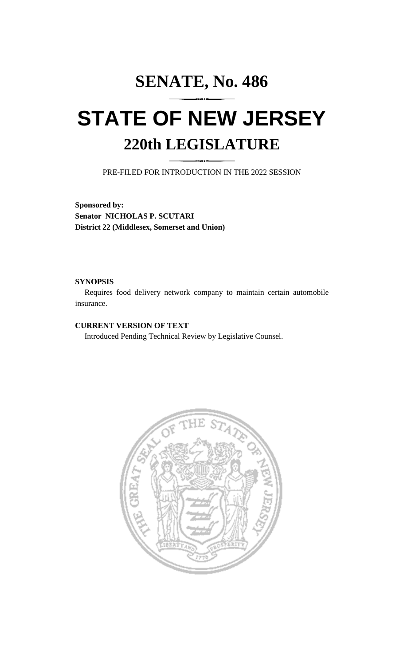# **SENATE, No. 486 STATE OF NEW JERSEY 220th LEGISLATURE**

PRE-FILED FOR INTRODUCTION IN THE 2022 SESSION

**Sponsored by: Senator NICHOLAS P. SCUTARI District 22 (Middlesex, Somerset and Union)**

### **SYNOPSIS**

Requires food delivery network company to maintain certain automobile insurance.

# **CURRENT VERSION OF TEXT**

Introduced Pending Technical Review by Legislative Counsel.

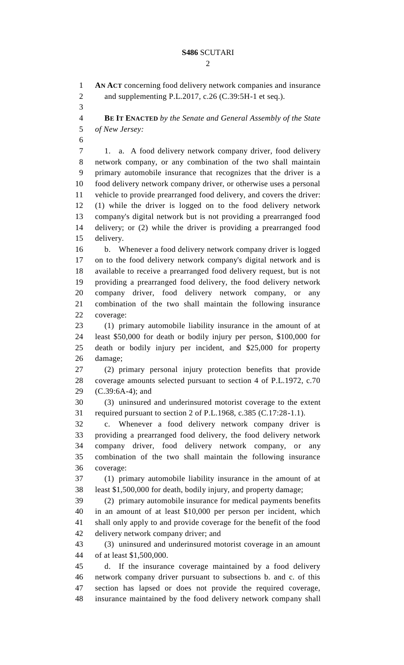$\mathcal{D}_{\mathcal{L}}$ 

 **AN ACT** concerning food delivery network companies and insurance 2 and supplementing P.L.2017, c.26 (C.39:5H-1 et seq.).

 **BE IT ENACTED** *by the Senate and General Assembly of the State of New Jersey:*

 1. a. A food delivery network company driver, food delivery network company, or any combination of the two shall maintain primary automobile insurance that recognizes that the driver is a food delivery network company driver, or otherwise uses a personal vehicle to provide prearranged food delivery, and covers the driver: (1) while the driver is logged on to the food delivery network company's digital network but is not providing a prearranged food delivery; or (2) while the driver is providing a prearranged food delivery.

 b. Whenever a food delivery network company driver is logged on to the food delivery network company's digital network and is available to receive a prearranged food delivery request, but is not providing a prearranged food delivery, the food delivery network company driver, food delivery network company, or any combination of the two shall maintain the following insurance coverage:

 (1) primary automobile liability insurance in the amount of at least \$50,000 for death or bodily injury per person, \$100,000 for death or bodily injury per incident, and \$25,000 for property damage;

 (2) primary personal injury protection benefits that provide coverage amounts selected pursuant to section 4 of P.L.1972, c.70 (C.39:6A-4); and

 (3) uninsured and underinsured motorist coverage to the extent required pursuant to section 2 of P.L.1968, c.385 (C.17:28-1.1).

 c. Whenever a food delivery network company driver is providing a prearranged food delivery, the food delivery network company driver, food delivery network company, or any combination of the two shall maintain the following insurance coverage:

 (1) primary automobile liability insurance in the amount of at least \$1,500,000 for death, bodily injury, and property damage;

 (2) primary automobile insurance for medical payments benefits in an amount of at least \$10,000 per person per incident, which shall only apply to and provide coverage for the benefit of the food delivery network company driver; and

 (3) uninsured and underinsured motorist coverage in an amount of at least \$1,500,000.

 d. If the insurance coverage maintained by a food delivery network company driver pursuant to subsections b. and c. of this section has lapsed or does not provide the required coverage, insurance maintained by the food delivery network company shall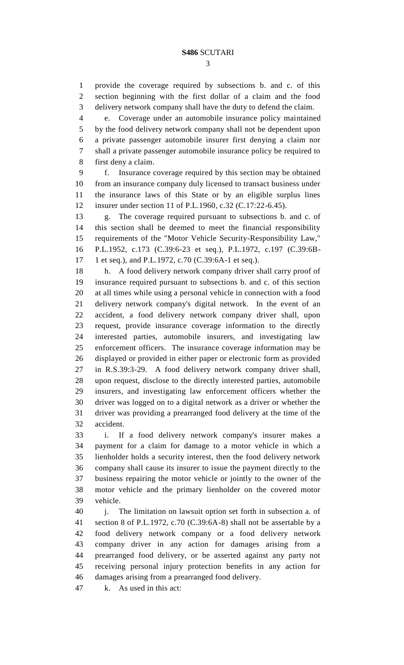provide the coverage required by subsections b. and c. of this section beginning with the first dollar of a claim and the food delivery network company shall have the duty to defend the claim.

 e. Coverage under an automobile insurance policy maintained by the food delivery network company shall not be dependent upon a private passenger automobile insurer first denying a claim nor shall a private passenger automobile insurance policy be required to first deny a claim.

 f. Insurance coverage required by this section may be obtained from an insurance company duly licensed to transact business under the insurance laws of this State or by an eligible surplus lines insurer under section 11 of P.L.1960, c.32 (C.17:22-6.45).

 g. The coverage required pursuant to subsections b. and c. of this section shall be deemed to meet the financial responsibility requirements of the "Motor Vehicle Security-Responsibility Law," P.L.1952, c.173 (C.39:6-23 et seq.), P.L.1972, c.197 (C.39:6B-1 et seq.), and P.L.1972, c.70 (C.39:6A-1 et seq.).

 h. A food delivery network company driver shall carry proof of insurance required pursuant to subsections b. and c. of this section at all times while using a personal vehicle in connection with a food delivery network company's digital network. In the event of an accident, a food delivery network company driver shall, upon request, provide insurance coverage information to the directly interested parties, automobile insurers, and investigating law enforcement officers. The insurance coverage information may be displayed or provided in either paper or electronic form as provided in R.S.39:3-29. A food delivery network company driver shall, upon request, disclose to the directly interested parties, automobile insurers, and investigating law enforcement officers whether the driver was logged on to a digital network as a driver or whether the driver was providing a prearranged food delivery at the time of the accident.

 i. If a food delivery network company's insurer makes a payment for a claim for damage to a motor vehicle in which a lienholder holds a security interest, then the food delivery network company shall cause its insurer to issue the payment directly to the business repairing the motor vehicle or jointly to the owner of the motor vehicle and the primary lienholder on the covered motor vehicle.

40 i. The limitation on lawsuit option set forth in subsection a. of section 8 of P.L.1972, c.70 (C.39:6A-8) shall not be assertable by a food delivery network company or a food delivery network company driver in any action for damages arising from a prearranged food delivery, or be asserted against any party not receiving personal injury protection benefits in any action for damages arising from a prearranged food delivery.

k. As used in this act: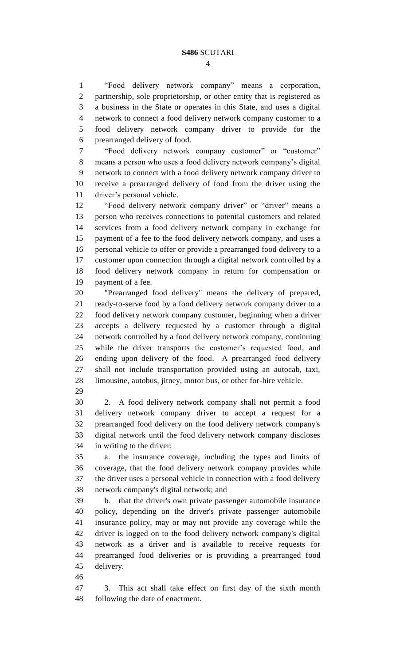"Food delivery network company" means a corporation, partnership, sole proprietorship, or other entity that is registered as a business in the State or operates in this State, and uses a digital network to connect a food delivery network company customer to a food delivery network company driver to provide for the prearranged delivery of food.

 "Food delivery network company customer" or "customer" means a person who uses a food delivery network company's digital network to connect with a food delivery network company driver to receive a prearranged delivery of food from the driver using the driver's personal vehicle.

 "Food delivery network company driver" or "driver" means a person who receives connections to potential customers and related services from a food delivery network company in exchange for payment of a fee to the food delivery network company, and uses a personal vehicle to offer or provide a prearranged food delivery to a customer upon connection through a digital network controlled by a food delivery network company in return for compensation or payment of a fee.

 "Prearranged food delivery" means the delivery of prepared, ready-to-serve food by a food delivery network company driver to a food delivery network company customer, beginning when a driver accepts a delivery requested by a customer through a digital network controlled by a food delivery network company, continuing while the driver transports the customer's requested food, and ending upon delivery of the food. A prearranged food delivery shall not include transportation provided using an autocab, taxi, limousine, autobus, jitney, motor bus, or other for-hire vehicle.

 2. A food delivery network company shall not permit a food delivery network company driver to accept a request for a prearranged food delivery on the food delivery network company's digital network until the food delivery network company discloses in writing to the driver:

 a. the insurance coverage, including the types and limits of coverage, that the food delivery network company provides while the driver uses a personal vehicle in connection with a food delivery network company's digital network; and

 b. that the driver's own private passenger automobile insurance policy, depending on the driver's private passenger automobile insurance policy, may or may not provide any coverage while the driver is logged on to the food delivery network company's digital network as a driver and is available to receive requests for prearranged food deliveries or is providing a prearranged food delivery.

 3. This act shall take effect on first day of the sixth month following the date of enactment.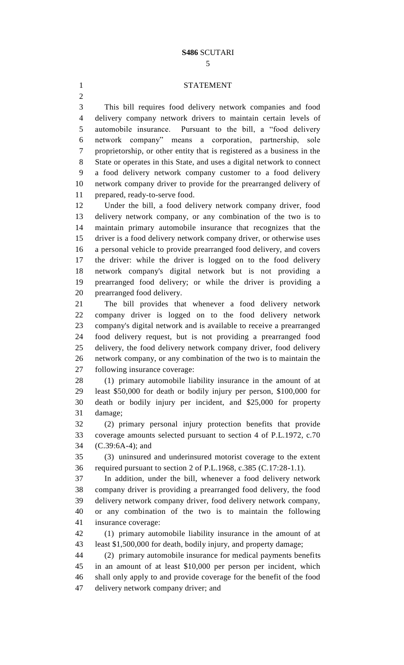#### STATEMENT

 This bill requires food delivery network companies and food delivery company network drivers to maintain certain levels of automobile insurance. Pursuant to the bill, a "food delivery network company" means a corporation, partnership, sole proprietorship, or other entity that is registered as a business in the State or operates in this State, and uses a digital network to connect a food delivery network company customer to a food delivery network company driver to provide for the prearranged delivery of prepared, ready-to-serve food.

 Under the bill, a food delivery network company driver, food delivery network company, or any combination of the two is to maintain primary automobile insurance that recognizes that the driver is a food delivery network company driver, or otherwise uses a personal vehicle to provide prearranged food delivery, and covers the driver: while the driver is logged on to the food delivery network company's digital network but is not providing a prearranged food delivery; or while the driver is providing a prearranged food delivery.

 The bill provides that whenever a food delivery network company driver is logged on to the food delivery network company's digital network and is available to receive a prearranged food delivery request, but is not providing a prearranged food delivery, the food delivery network company driver, food delivery network company, or any combination of the two is to maintain the following insurance coverage:

 (1) primary automobile liability insurance in the amount of at least \$50,000 for death or bodily injury per person, \$100,000 for death or bodily injury per incident, and \$25,000 for property damage;

 (2) primary personal injury protection benefits that provide coverage amounts selected pursuant to section 4 of P.L.1972, c.70 (C.39:6A-4); and

 (3) uninsured and underinsured motorist coverage to the extent required pursuant to section 2 of P.L.1968, c.385 (C.17:28-1.1).

 In addition, under the bill, whenever a food delivery network company driver is providing a prearranged food delivery, the food delivery network company driver, food delivery network company, or any combination of the two is to maintain the following insurance coverage:

 (1) primary automobile liability insurance in the amount of at least \$1,500,000 for death, bodily injury, and property damage;

 (2) primary automobile insurance for medical payments benefits in an amount of at least \$10,000 per person per incident, which shall only apply to and provide coverage for the benefit of the food delivery network company driver; and